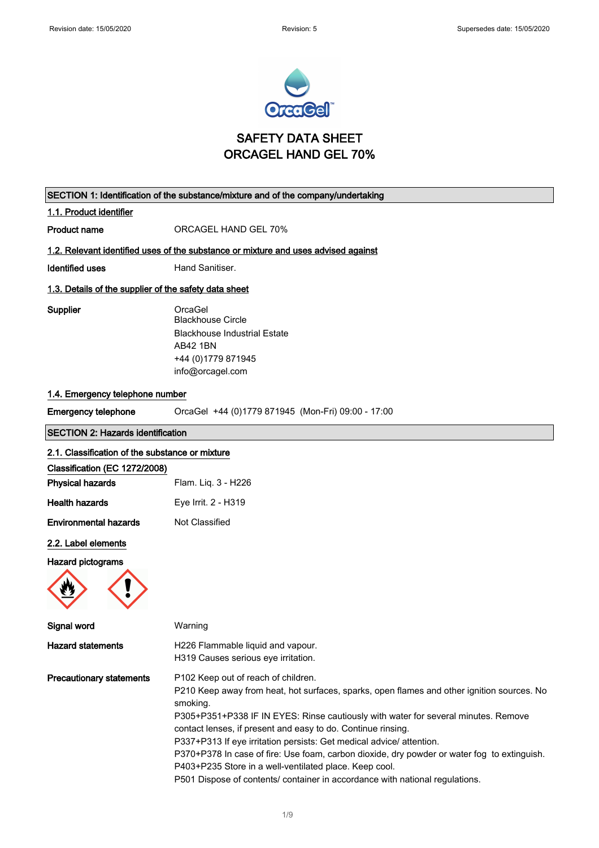

## SAFETY DATA SHEET ORCAGEL HAND GEL 70%

|                                                       | SECTION 1: Identification of the substance/mixture and of the company/undertaking                                                                                                                                                                                                                                                                                                                                                                                                                                                                                                                                    |
|-------------------------------------------------------|----------------------------------------------------------------------------------------------------------------------------------------------------------------------------------------------------------------------------------------------------------------------------------------------------------------------------------------------------------------------------------------------------------------------------------------------------------------------------------------------------------------------------------------------------------------------------------------------------------------------|
| 1.1. Product identifier                               |                                                                                                                                                                                                                                                                                                                                                                                                                                                                                                                                                                                                                      |
| Product name                                          | ORCAGEL HAND GEL 70%                                                                                                                                                                                                                                                                                                                                                                                                                                                                                                                                                                                                 |
|                                                       | 1.2. Relevant identified uses of the substance or mixture and uses advised against                                                                                                                                                                                                                                                                                                                                                                                                                                                                                                                                   |
| <b>Identified uses</b>                                | Hand Sanitiser.                                                                                                                                                                                                                                                                                                                                                                                                                                                                                                                                                                                                      |
| 1.3. Details of the supplier of the safety data sheet |                                                                                                                                                                                                                                                                                                                                                                                                                                                                                                                                                                                                                      |
| Supplier                                              | OrcaGel<br><b>Blackhouse Circle</b><br><b>Blackhouse Industrial Estate</b><br><b>AB42 1BN</b><br>+44 (0) 1779 871945<br>info@orcagel.com                                                                                                                                                                                                                                                                                                                                                                                                                                                                             |
| 1.4. Emergency telephone number                       |                                                                                                                                                                                                                                                                                                                                                                                                                                                                                                                                                                                                                      |
| <b>Emergency telephone</b>                            | OrcaGel +44 (0)1779 871945 (Mon-Fri) 09:00 - 17:00                                                                                                                                                                                                                                                                                                                                                                                                                                                                                                                                                                   |
| <b>SECTION 2: Hazards identification</b>              |                                                                                                                                                                                                                                                                                                                                                                                                                                                                                                                                                                                                                      |
| 2.1. Classification of the substance or mixture       |                                                                                                                                                                                                                                                                                                                                                                                                                                                                                                                                                                                                                      |
| Classification (EC 1272/2008)                         |                                                                                                                                                                                                                                                                                                                                                                                                                                                                                                                                                                                                                      |
| <b>Physical hazards</b>                               | Flam. Liq. 3 - H226                                                                                                                                                                                                                                                                                                                                                                                                                                                                                                                                                                                                  |
| <b>Health hazards</b>                                 | Eye Irrit. 2 - H319                                                                                                                                                                                                                                                                                                                                                                                                                                                                                                                                                                                                  |
| <b>Environmental hazards</b>                          | Not Classified                                                                                                                                                                                                                                                                                                                                                                                                                                                                                                                                                                                                       |
| 2.2. Label elements                                   |                                                                                                                                                                                                                                                                                                                                                                                                                                                                                                                                                                                                                      |
| <b>Hazard pictograms</b>                              |                                                                                                                                                                                                                                                                                                                                                                                                                                                                                                                                                                                                                      |
| Signal word                                           | Warning                                                                                                                                                                                                                                                                                                                                                                                                                                                                                                                                                                                                              |
| <b>Hazard statements</b>                              | H226 Flammable liquid and vapour.<br>H319 Causes serious eye irritation.                                                                                                                                                                                                                                                                                                                                                                                                                                                                                                                                             |
| <b>Precautionary statements</b>                       | P102 Keep out of reach of children.<br>P210 Keep away from heat, hot surfaces, sparks, open flames and other ignition sources. No<br>smoking.<br>P305+P351+P338 IF IN EYES: Rinse cautiously with water for several minutes. Remove<br>contact lenses, if present and easy to do. Continue rinsing.<br>P337+P313 If eye irritation persists: Get medical advice/ attention.<br>P370+P378 In case of fire: Use foam, carbon dioxide, dry powder or water fog to extinguish.<br>P403+P235 Store in a well-ventilated place. Keep cool.<br>P501 Dispose of contents/ container in accordance with national regulations. |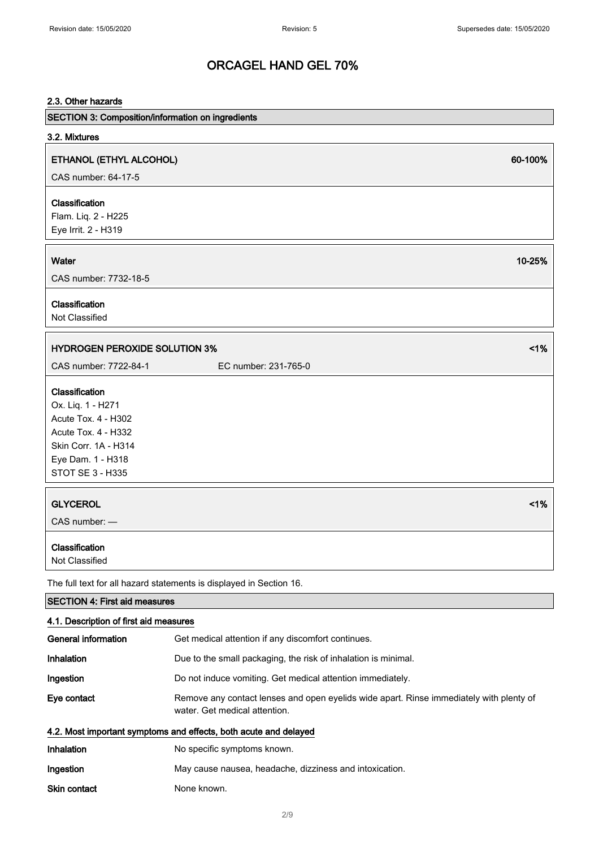# 2.3. Other hazards SECTION 3: Composition/information on ingredients 3.2. Mixtures ETHANOL (ETHYL ALCOHOL) 60-100% CAS number: 64-17-5 Classification Flam. Liq. 2 - H225 Eye Irrit. 2 - H319 Water  $10$ -25% and  $10$ -25% and  $10$ -25% and  $10$ -25% and  $10$ -25% and  $10$ -25% and  $10$ -25% and  $10$ -25% and  $10$ -25% and  $10$ -25% and  $10$ -25% and  $10$ -25% and  $10$ -25% and  $10$ CAS number: 7732-18-5 Classification Not Classified HYDROGEN PEROXIDE SOLUTION 3% <1% CAS number: 7722-84-1 EC number: 231-765-0 Classification Ox. Liq. 1 - H271 Acute Tox. 4 - H302 Acute Tox. 4 - H332 Skin Corr. 1A - H314 Eye Dam. 1 - H318 STOT SE 3 - H335 GLYCEROL <1% CAS number: — Classification Not Classified The full text for all hazard statements is displayed in Section 16. SECTION 4: First aid measures 4.1. Description of first aid measures General information Get medical attention if any discomfort continues. Inhalation **Due to the small packaging, the risk of inhalation is minimal.** Ingestion Do not induce vomiting. Get medical attention immediately. Eye contact Remove any contact lenses and open eyelids wide apart. Rinse immediately with plenty of water. Get medical attention. 4.2. Most important symptoms and effects, both acute and delayed Inhalation No specific symptoms known. Ingestion May cause nausea, headache, dizziness and intoxication. Skin contact None known.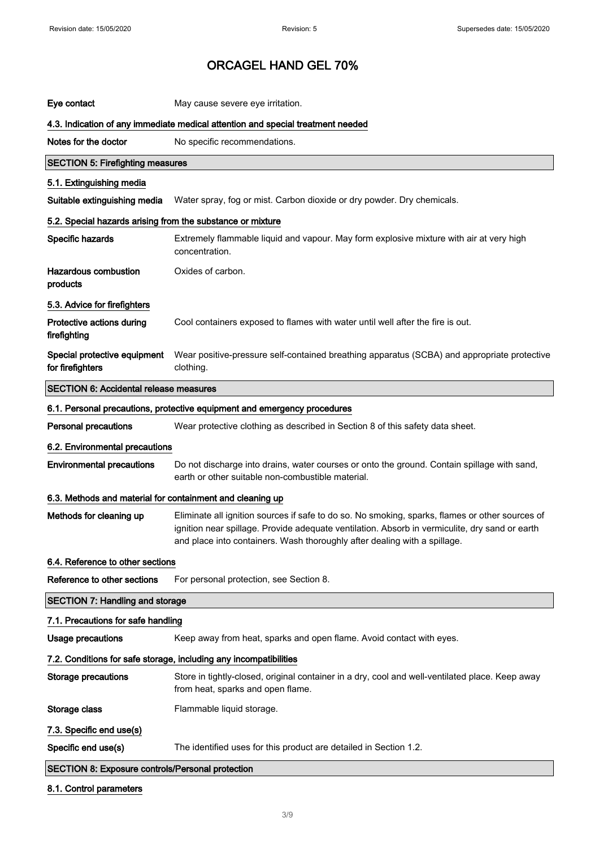| Eye contact                                                | May cause severe eye irritation.                                                                                                                                                                                                                                               |
|------------------------------------------------------------|--------------------------------------------------------------------------------------------------------------------------------------------------------------------------------------------------------------------------------------------------------------------------------|
|                                                            | 4.3. Indication of any immediate medical attention and special treatment needed                                                                                                                                                                                                |
| Notes for the doctor                                       | No specific recommendations.                                                                                                                                                                                                                                                   |
| <b>SECTION 5: Firefighting measures</b>                    |                                                                                                                                                                                                                                                                                |
| 5.1. Extinguishing media                                   |                                                                                                                                                                                                                                                                                |
| Suitable extinguishing media                               | Water spray, fog or mist. Carbon dioxide or dry powder. Dry chemicals.                                                                                                                                                                                                         |
| 5.2. Special hazards arising from the substance or mixture |                                                                                                                                                                                                                                                                                |
| Specific hazards                                           | Extremely flammable liquid and vapour. May form explosive mixture with air at very high<br>concentration.                                                                                                                                                                      |
| <b>Hazardous combustion</b><br>products                    | Oxides of carbon.                                                                                                                                                                                                                                                              |
| 5.3. Advice for firefighters                               |                                                                                                                                                                                                                                                                                |
| Protective actions during<br>firefighting                  | Cool containers exposed to flames with water until well after the fire is out.                                                                                                                                                                                                 |
| Special protective equipment<br>for firefighters           | Wear positive-pressure self-contained breathing apparatus (SCBA) and appropriate protective<br>clothing.                                                                                                                                                                       |
| <b>SECTION 6: Accidental release measures</b>              |                                                                                                                                                                                                                                                                                |
|                                                            | 6.1. Personal precautions, protective equipment and emergency procedures                                                                                                                                                                                                       |
| <b>Personal precautions</b>                                | Wear protective clothing as described in Section 8 of this safety data sheet.                                                                                                                                                                                                  |
| 6.2. Environmental precautions                             |                                                                                                                                                                                                                                                                                |
| <b>Environmental precautions</b>                           | Do not discharge into drains, water courses or onto the ground. Contain spillage with sand,<br>earth or other suitable non-combustible material.                                                                                                                               |
| 6.3. Methods and material for containment and cleaning up  |                                                                                                                                                                                                                                                                                |
| Methods for cleaning up                                    | Eliminate all ignition sources if safe to do so. No smoking, sparks, flames or other sources of<br>ignition near spillage. Provide adequate ventilation. Absorb in vermiculite, dry sand or earth<br>and place into containers. Wash thoroughly after dealing with a spillage. |
| 6.4. Reference to other sections                           |                                                                                                                                                                                                                                                                                |
| Reference to other sections                                | For personal protection, see Section 8.                                                                                                                                                                                                                                        |
| <b>SECTION 7: Handling and storage</b>                     |                                                                                                                                                                                                                                                                                |
| 7.1. Precautions for safe handling                         |                                                                                                                                                                                                                                                                                |
| <b>Usage precautions</b>                                   | Keep away from heat, sparks and open flame. Avoid contact with eyes.                                                                                                                                                                                                           |
|                                                            | 7.2. Conditions for safe storage, including any incompatibilities                                                                                                                                                                                                              |
| <b>Storage precautions</b>                                 | Store in tightly-closed, original container in a dry, cool and well-ventilated place. Keep away<br>from heat, sparks and open flame.                                                                                                                                           |
| Storage class                                              | Flammable liquid storage.                                                                                                                                                                                                                                                      |
| 7.3. Specific end use(s)                                   |                                                                                                                                                                                                                                                                                |
| Specific end use(s)                                        | The identified uses for this product are detailed in Section 1.2.                                                                                                                                                                                                              |
| <b>SECTION 8: Exposure controls/Personal protection</b>    |                                                                                                                                                                                                                                                                                |

#### 8.1. Control parameters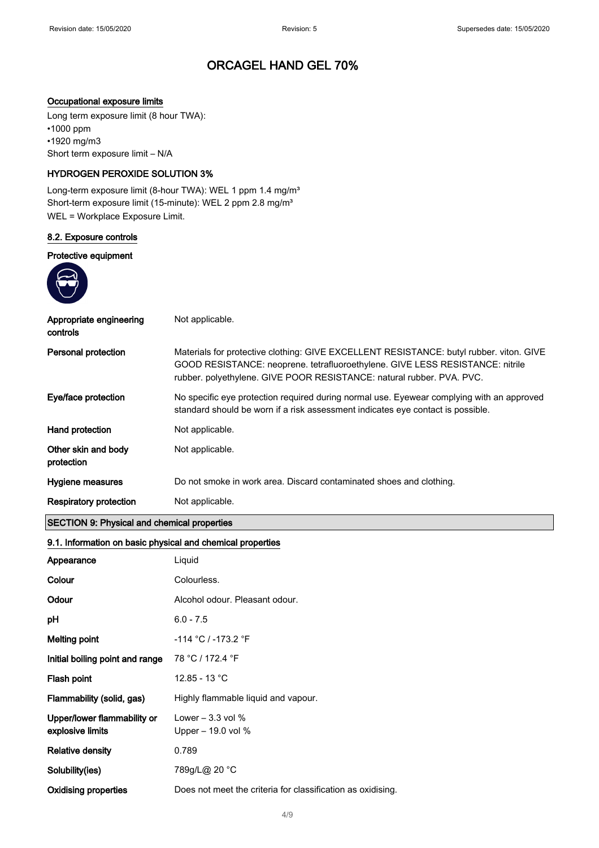#### Occupational exposure limits

Long term exposure limit (8 hour TWA): •1000 ppm •1920 mg/m3 Short term exposure limit – N/A

#### HYDROGEN PEROXIDE SOLUTION 3%

Long-term exposure limit (8-hour TWA): WEL 1 ppm 1.4 mg/m<sup>3</sup> Short-term exposure limit (15-minute): WEL 2 ppm 2.8 mg/m<sup>3</sup> WEL = Workplace Exposure Limit.

#### 8.2. Exposure controls

#### Protective equipment



| Appropriate engineering<br>controls | Not applicable.                                                                                                                                                                                                                                   |
|-------------------------------------|---------------------------------------------------------------------------------------------------------------------------------------------------------------------------------------------------------------------------------------------------|
| Personal protection                 | Materials for protective clothing: GIVE EXCELLENT RESISTANCE: butyl rubber. viton. GIVE<br>GOOD RESISTANCE: neoprene. tetrafluoroethylene. GIVE LESS RESISTANCE: nitrile<br>rubber. polyethylene. GIVE POOR RESISTANCE: natural rubber. PVA. PVC. |
| Eye/face protection                 | No specific eye protection required during normal use. Eyewear complying with an approved<br>standard should be worn if a risk assessment indicates eye contact is possible.                                                                      |
| Hand protection                     | Not applicable.                                                                                                                                                                                                                                   |
| Other skin and body<br>protection   | Not applicable.                                                                                                                                                                                                                                   |
| Hygiene measures                    | Do not smoke in work area. Discard contaminated shoes and clothing.                                                                                                                                                                               |
| Respiratory protection              | Not applicable.                                                                                                                                                                                                                                   |

### SECTION 9: Physical and chemical properties

#### 9.1. Information on basic physical and chemical properties

| Appearance                                      | Liquid                                                      |
|-------------------------------------------------|-------------------------------------------------------------|
| Colour                                          | Colourless.                                                 |
| Odour                                           | Alcohol odour. Pleasant odour.                              |
| рH                                              | $6.0 - 7.5$                                                 |
| Melting point                                   | -114 °C / -173.2 °F                                         |
| Initial boiling point and range                 | 78 °C / 172.4 °F                                            |
| Flash point                                     | 12.85 - 13 °C                                               |
| Flammability (solid, gas)                       | Highly flammable liquid and vapour.                         |
| Upper/lower flammability or<br>explosive limits | Lower $-3.3$ vol $%$<br>Upper $-19.0$ vol %                 |
| <b>Relative density</b>                         | 0.789                                                       |
| Solubility(ies)                                 | 789g/L@ 20 °C                                               |
| Oxidising properties                            | Does not meet the criteria for classification as oxidising. |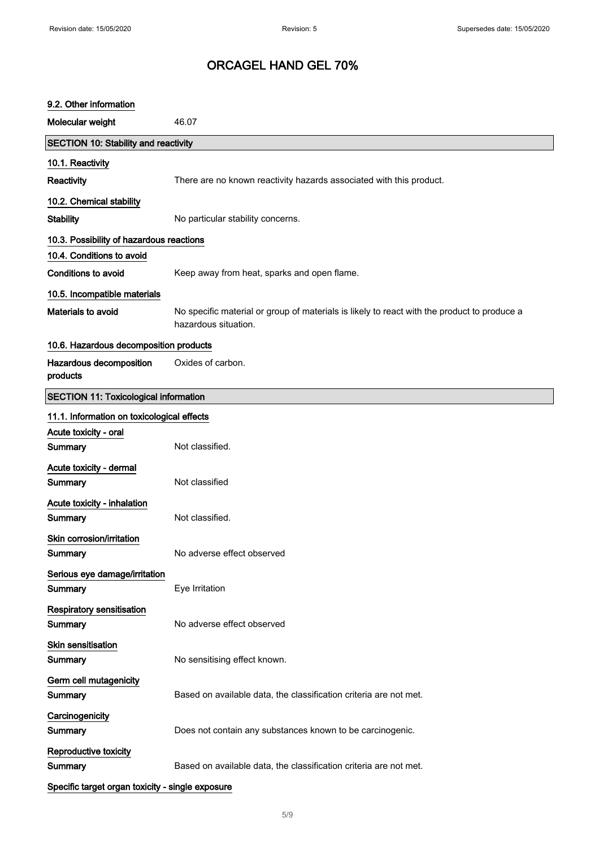| 9.2. Other information                           |                                                                                                                     |
|--------------------------------------------------|---------------------------------------------------------------------------------------------------------------------|
| Molecular weight                                 | 46.07                                                                                                               |
| <b>SECTION 10: Stability and reactivity</b>      |                                                                                                                     |
| 10.1. Reactivity                                 |                                                                                                                     |
| Reactivity                                       | There are no known reactivity hazards associated with this product.                                                 |
| 10.2. Chemical stability                         |                                                                                                                     |
| <b>Stability</b>                                 | No particular stability concerns.                                                                                   |
| 10.3. Possibility of hazardous reactions         |                                                                                                                     |
| 10.4. Conditions to avoid                        |                                                                                                                     |
| <b>Conditions to avoid</b>                       | Keep away from heat, sparks and open flame.                                                                         |
| 10.5. Incompatible materials                     |                                                                                                                     |
| Materials to avoid                               | No specific material or group of materials is likely to react with the product to produce a<br>hazardous situation. |
| 10.6. Hazardous decomposition products           |                                                                                                                     |
| Hazardous decomposition<br>products              | Oxides of carbon.                                                                                                   |
| <b>SECTION 11: Toxicological information</b>     |                                                                                                                     |
| 11.1. Information on toxicological effects       |                                                                                                                     |
| Acute toxicity - oral                            |                                                                                                                     |
| Summary                                          | Not classified.                                                                                                     |
| Acute toxicity - dermal                          |                                                                                                                     |
| Summary                                          | Not classified                                                                                                      |
| Acute toxicity - inhalation                      |                                                                                                                     |
| Summary                                          | Not classified.                                                                                                     |
| Skin corrosion/irritation                        |                                                                                                                     |
| Summary                                          | No adverse effect observed                                                                                          |
| Serious eye damage/irritation                    |                                                                                                                     |
| Summary                                          | Eye Irritation                                                                                                      |
| <b>Respiratory sensitisation</b><br>Summary      | No adverse effect observed                                                                                          |
| Skin sensitisation                               |                                                                                                                     |
| Summary                                          | No sensitising effect known.                                                                                        |
| Germ cell mutagenicity<br>Summary                | Based on available data, the classification criteria are not met.                                                   |
|                                                  |                                                                                                                     |
| Carcinogenicity<br>Summary                       | Does not contain any substances known to be carcinogenic.                                                           |
| Reproductive toxicity<br>Summary                 | Based on available data, the classification criteria are not met.                                                   |
| Specific target organ toxicity - single exposure |                                                                                                                     |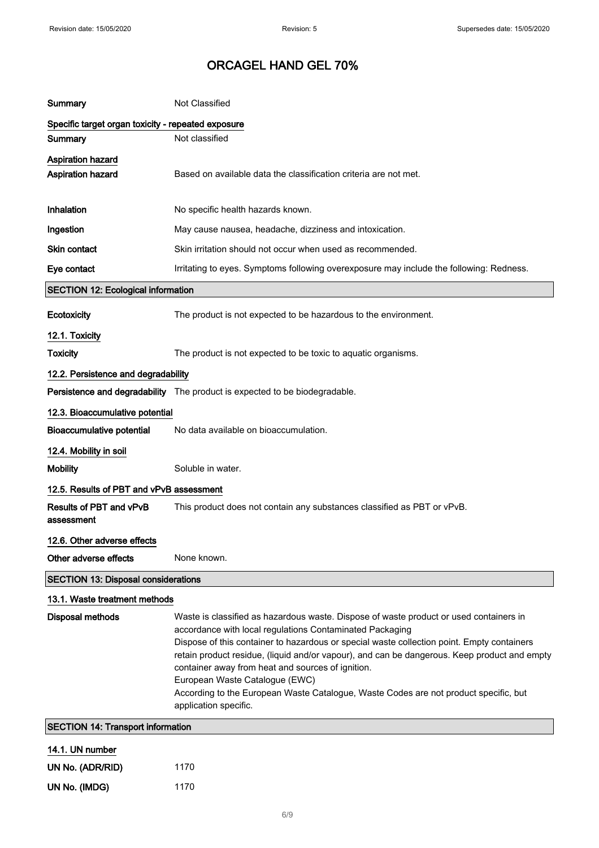| Summary                                              | Not Classified                                                                                                                                                                                                                                                                                                                                                                                                                                                                                                                                           |
|------------------------------------------------------|----------------------------------------------------------------------------------------------------------------------------------------------------------------------------------------------------------------------------------------------------------------------------------------------------------------------------------------------------------------------------------------------------------------------------------------------------------------------------------------------------------------------------------------------------------|
| Specific target organ toxicity - repeated exposure   |                                                                                                                                                                                                                                                                                                                                                                                                                                                                                                                                                          |
| Summary                                              | Not classified                                                                                                                                                                                                                                                                                                                                                                                                                                                                                                                                           |
| <b>Aspiration hazard</b><br><b>Aspiration hazard</b> | Based on available data the classification criteria are not met.                                                                                                                                                                                                                                                                                                                                                                                                                                                                                         |
| Inhalation                                           | No specific health hazards known.                                                                                                                                                                                                                                                                                                                                                                                                                                                                                                                        |
| Ingestion                                            | May cause nausea, headache, dizziness and intoxication.                                                                                                                                                                                                                                                                                                                                                                                                                                                                                                  |
| Skin contact                                         | Skin irritation should not occur when used as recommended.                                                                                                                                                                                                                                                                                                                                                                                                                                                                                               |
| Eye contact                                          | Irritating to eyes. Symptoms following overexposure may include the following: Redness.                                                                                                                                                                                                                                                                                                                                                                                                                                                                  |
| <b>SECTION 12: Ecological information</b>            |                                                                                                                                                                                                                                                                                                                                                                                                                                                                                                                                                          |
| Ecotoxicity                                          | The product is not expected to be hazardous to the environment.                                                                                                                                                                                                                                                                                                                                                                                                                                                                                          |
| 12.1. Toxicity                                       |                                                                                                                                                                                                                                                                                                                                                                                                                                                                                                                                                          |
| <b>Toxicity</b>                                      | The product is not expected to be toxic to aquatic organisms.                                                                                                                                                                                                                                                                                                                                                                                                                                                                                            |
| 12.2. Persistence and degradability                  |                                                                                                                                                                                                                                                                                                                                                                                                                                                                                                                                                          |
|                                                      | Persistence and degradability The product is expected to be biodegradable.                                                                                                                                                                                                                                                                                                                                                                                                                                                                               |
| 12.3. Bioaccumulative potential                      |                                                                                                                                                                                                                                                                                                                                                                                                                                                                                                                                                          |
| <b>Bioaccumulative potential</b>                     | No data available on bioaccumulation.                                                                                                                                                                                                                                                                                                                                                                                                                                                                                                                    |
| 12.4. Mobility in soil                               |                                                                                                                                                                                                                                                                                                                                                                                                                                                                                                                                                          |
| <b>Mobility</b>                                      | Soluble in water.                                                                                                                                                                                                                                                                                                                                                                                                                                                                                                                                        |
| 12.5. Results of PBT and vPvB assessment             |                                                                                                                                                                                                                                                                                                                                                                                                                                                                                                                                                          |
| Results of PBT and vPvB<br>assessment                | This product does not contain any substances classified as PBT or vPvB.                                                                                                                                                                                                                                                                                                                                                                                                                                                                                  |
| 12.6. Other adverse effects                          |                                                                                                                                                                                                                                                                                                                                                                                                                                                                                                                                                          |
| Other adverse effects                                | None known.                                                                                                                                                                                                                                                                                                                                                                                                                                                                                                                                              |
| <b>SECTION 13: Disposal considerations</b>           |                                                                                                                                                                                                                                                                                                                                                                                                                                                                                                                                                          |
| 13.1. Waste treatment methods                        |                                                                                                                                                                                                                                                                                                                                                                                                                                                                                                                                                          |
| <b>Disposal methods</b>                              | Waste is classified as hazardous waste. Dispose of waste product or used containers in<br>accordance with local regulations Contaminated Packaging<br>Dispose of this container to hazardous or special waste collection point. Empty containers<br>retain product residue, (liquid and/or vapour), and can be dangerous. Keep product and empty<br>container away from heat and sources of ignition.<br>European Waste Catalogue (EWC)<br>According to the European Waste Catalogue, Waste Codes are not product specific, but<br>application specific. |
| <b>SECTION 14: Transport information</b>             |                                                                                                                                                                                                                                                                                                                                                                                                                                                                                                                                                          |
| 14.1. UN number                                      |                                                                                                                                                                                                                                                                                                                                                                                                                                                                                                                                                          |
| UN No. (ADR/RID)                                     | 1170                                                                                                                                                                                                                                                                                                                                                                                                                                                                                                                                                     |
| UN No. (IMDG)                                        | 1170                                                                                                                                                                                                                                                                                                                                                                                                                                                                                                                                                     |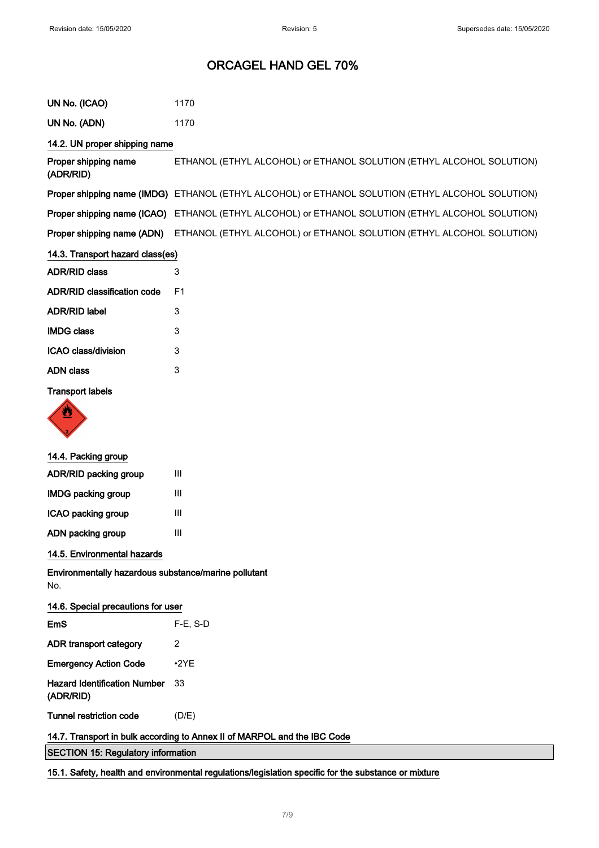| UN No. (ICAO)                                                            | 1170                                                                                             |
|--------------------------------------------------------------------------|--------------------------------------------------------------------------------------------------|
| UN No. (ADN)                                                             | 1170                                                                                             |
| 14.2. UN proper shipping name                                            |                                                                                                  |
| Proper shipping name<br>(ADR/RID)                                        | ETHANOL (ETHYL ALCOHOL) or ETHANOL SOLUTION (ETHYL ALCOHOL SOLUTION)                             |
|                                                                          | Proper shipping name (IMDG) ETHANOL (ETHYL ALCOHOL) or ETHANOL SOLUTION (ETHYL ALCOHOL SOLUTION) |
| Proper shipping name (ICAO)                                              | ETHANOL (ETHYL ALCOHOL) or ETHANOL SOLUTION (ETHYL ALCOHOL SOLUTION)                             |
| Proper shipping name (ADN)                                               | ETHANOL (ETHYL ALCOHOL) or ETHANOL SOLUTION (ETHYL ALCOHOL SOLUTION)                             |
| 14.3. Transport hazard class(es)                                         |                                                                                                  |
| <b>ADR/RID class</b>                                                     | 3                                                                                                |
| <b>ADR/RID classification code</b>                                       | F <sub>1</sub>                                                                                   |
| <b>ADR/RID label</b>                                                     | 3                                                                                                |
| <b>IMDG class</b>                                                        | 3                                                                                                |
| ICAO class/division                                                      | 3                                                                                                |
| <b>ADN</b> class                                                         | 3                                                                                                |
| <b>Transport labels</b>                                                  |                                                                                                  |
| 14.4. Packing group                                                      |                                                                                                  |
| ADR/RID packing group                                                    | $\mathbf{III}$                                                                                   |
| <b>IMDG packing group</b>                                                | Ш                                                                                                |
| ICAO packing group                                                       | III                                                                                              |
| ADN packing group                                                        | $\mathbf{III}$                                                                                   |
| 14.5. Environmental hazards                                              |                                                                                                  |
| Environmentally hazardous substance/marine pollutant<br>No.              |                                                                                                  |
| 14.6. Special precautions for user                                       |                                                                                                  |
| EmS                                                                      | $F-E$ , S-D                                                                                      |
| ADR transport category                                                   | 2                                                                                                |
| <b>Emergency Action Code</b>                                             | $-2YE$                                                                                           |
| <b>Hazard Identification Number</b><br>(ADR/RID)                         | 33                                                                                               |
| <b>Tunnel restriction code</b>                                           | (D/E)                                                                                            |
| 14.7. Transport in bulk according to Annex II of MARPOL and the IBC Code |                                                                                                  |
| <b>SECTION 15: Regulatory information</b>                                |                                                                                                  |

15.1. Safety, health and environmental regulations/legislation specific for the substance or mixture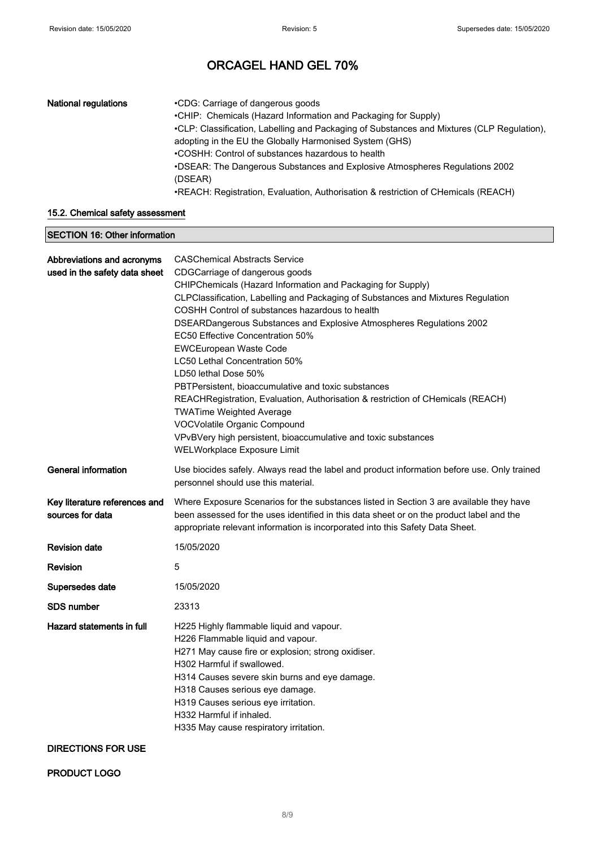| <b>National regulations</b> | •CDG: Carriage of dangerous goods<br>•CHIP: Chemicals (Hazard Information and Packaging for Supply)<br>•CLP: Classification, Labelling and Packaging of Substances and Mixtures (CLP Regulation),<br>adopting in the EU the Globally Harmonised System (GHS)<br>•COSHH: Control of substances hazardous to health<br>• DSEAR: The Dangerous Substances and Explosive Atmospheres Regulations 2002<br>(DSEAR) |
|-----------------------------|--------------------------------------------------------------------------------------------------------------------------------------------------------------------------------------------------------------------------------------------------------------------------------------------------------------------------------------------------------------------------------------------------------------|
|                             | •REACH: Registration, Evaluation, Authorisation & restriction of CHemicals (REACH)                                                                                                                                                                                                                                                                                                                           |

#### 15.2. Chemical safety assessment

| <b>SECTION 16: Other information</b>                        |                                                                                                                                                                                                                                                                                                                                                                                                                                                                                                                                                                                                                                                                                                                                                                                                  |
|-------------------------------------------------------------|--------------------------------------------------------------------------------------------------------------------------------------------------------------------------------------------------------------------------------------------------------------------------------------------------------------------------------------------------------------------------------------------------------------------------------------------------------------------------------------------------------------------------------------------------------------------------------------------------------------------------------------------------------------------------------------------------------------------------------------------------------------------------------------------------|
| Abbreviations and acronyms<br>used in the safety data sheet | <b>CASChemical Abstracts Service</b><br>CDGCarriage of dangerous goods<br>CHIPChemicals (Hazard Information and Packaging for Supply)<br>CLPClassification, Labelling and Packaging of Substances and Mixtures Regulation<br>COSHH Control of substances hazardous to health<br>DSEARDangerous Substances and Explosive Atmospheres Regulations 2002<br>EC50 Effective Concentration 50%<br><b>EWCEuropean Waste Code</b><br>LC50 Lethal Concentration 50%<br>LD50 lethal Dose 50%<br>PBTPersistent, bioaccumulative and toxic substances<br>REACHRegistration, Evaluation, Authorisation & restriction of CHemicals (REACH)<br><b>TWATime Weighted Average</b><br>VOCVolatile Organic Compound<br>VPvBVery high persistent, bioaccumulative and toxic substances<br>WELWorkplace Exposure Limit |
| General information                                         | Use biocides safely. Always read the label and product information before use. Only trained<br>personnel should use this material.                                                                                                                                                                                                                                                                                                                                                                                                                                                                                                                                                                                                                                                               |
| Key literature references and<br>sources for data           | Where Exposure Scenarios for the substances listed in Section 3 are available they have<br>been assessed for the uses identified in this data sheet or on the product label and the<br>appropriate relevant information is incorporated into this Safety Data Sheet.                                                                                                                                                                                                                                                                                                                                                                                                                                                                                                                             |
| <b>Revision date</b>                                        | 15/05/2020                                                                                                                                                                                                                                                                                                                                                                                                                                                                                                                                                                                                                                                                                                                                                                                       |
| <b>Revision</b>                                             | 5                                                                                                                                                                                                                                                                                                                                                                                                                                                                                                                                                                                                                                                                                                                                                                                                |
| Supersedes date                                             | 15/05/2020                                                                                                                                                                                                                                                                                                                                                                                                                                                                                                                                                                                                                                                                                                                                                                                       |
| SDS number                                                  | 23313                                                                                                                                                                                                                                                                                                                                                                                                                                                                                                                                                                                                                                                                                                                                                                                            |
| Hazard statements in full                                   | H225 Highly flammable liquid and vapour.<br>H226 Flammable liquid and vapour.<br>H271 May cause fire or explosion; strong oxidiser.<br>H302 Harmful if swallowed.<br>H314 Causes severe skin burns and eye damage.<br>H318 Causes serious eye damage.<br>H319 Causes serious eye irritation.<br>H332 Harmful if inhaled.<br>H335 May cause respiratory irritation.                                                                                                                                                                                                                                                                                                                                                                                                                               |

### DIRECTIONS FOR USE

PRODUCT LOGO